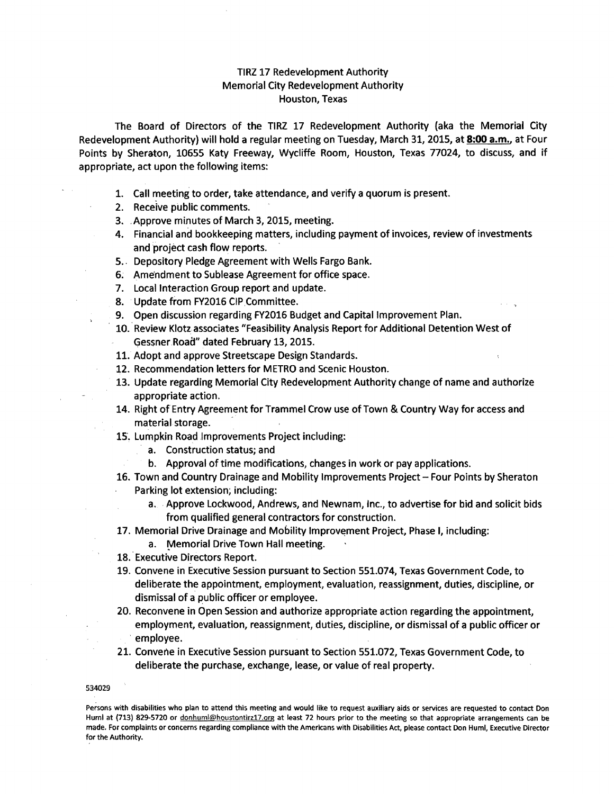## TIRZ 17 Redevelopment Authority Memorial City Redevelopment Authority Houston, Texas

The Board of Directors of the TIRZ 17 Redevelopment Authority (aka the Memorial City Redevelopment Authority) will hold a regular meeting on Tuesday, March 31, 2015, at 8:00 a.m., at Four Points by Sheraton, 10655 Katy Freeway, Wycliffe Room, Houston, Texas 77024, to discuss, and if appropriate, act upon the following items:

- 1. Call meeting to order, take attendance, and verify a quorum is present.
- 2. Receive public comments.
- 3. ,Approve minutes of March 3,2015, meeting.
- 4. Financial and bookkeeping matters, including payment of invoices, review of investments and project cash flow reports.
- 5., Depository Pledge Agreement with Wells Fargo Bank.
- 6; Amendment to Sublease Agreement for office space.
- 7. Local Interaction Group report and update.
- S. Update from FY2016 CIP,Committee.
- 9. Open discussion regarding FY2016 Budget and Capital Improvement Plan.
- 10. Review Klotz associates "Feasibility Analysis Report for Additional Detention West of Gessner Road" dated February 13, 2015.
- 11. Adopt and approve Streetscape Design Standards.
- 12. Recommendation letters for METRO and Scenic Houston.
- 13. Update regarding Memorial City Redevelopment Authority change of name and authorize appropriate action.
- 14. Right of Entry Agreement for Trammel Crow use of Town & Country Way for access and material storage.
- 15. Lumpkin Road Improvements Project including:
	- a. Construction status; and
	- b. Approval of time modifications, changes in work or pay applications.
- 16. Town and Country Drainage and Mobility Improvements Project Four Points by Sheraton Parking lot extension; including:
	- a. Approve Lockwood, Andrews, and Newnam, Inc., to advertise for bid and solicit bids from qualified general contractors for construction.
- 17. Memorial Drive Drainage and Mobility Improvement Project, Phase I, including:
- a. Memorial Drive Town Hall meeting.
- 18. Executive Directors Report.
- 19. Convene in Executive Session pursuant to Section 551.074, Texas Government Code, to deliberate the appointment, employment, evaluation, reassignment, duties, discipline, or dismissal of a public officer or employee.
- 20. Reconvene in Open Session and authorize appropriate action regarding the appointment, employment, evaluation, reassignment, duties, discipline, or dismissal of a public officer or , employee.
- 21. Convene in Executive Session pursuant to Section 551.072, Texas Government Code, to deliberate the purchase, exchange, lease, or value of real property.

## 534029

Persons with disabilities who plan to attend this meeting and would like to request auxiliary aids or services are requested to contact Don Huml at (713) 829-5720 or donhuml@houstontirz17.org at least 72 hours prior to the meeting so that appropriate arrangements can be made. For complaints or concerns regarding compliance with the Americans with Disabilities Act, please contact Don Huml, Executive Director for the Authority.